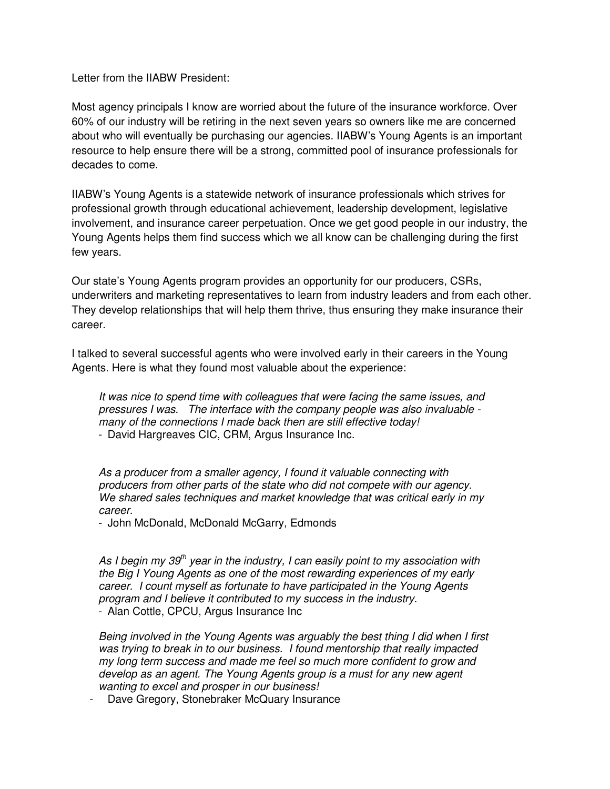Letter from the IIABW President:

Most agency principals I know are worried about the future of the insurance workforce. Over 60% of our industry will be retiring in the next seven years so owners like me are concerned about who will eventually be purchasing our agencies. IIABW's Young Agents is an important resource to help ensure there will be a strong, committed pool of insurance professionals for decades to come.

IIABW's Young Agents is a statewide network of insurance professionals which strives for professional growth through educational achievement, leadership development, legislative involvement, and insurance career perpetuation. Once we get good people in our industry, the Young Agents helps them find success which we all know can be challenging during the first few years.

Our state's Young Agents program provides an opportunity for our producers, CSRs, underwriters and marketing representatives to learn from industry leaders and from each other. They develop relationships that will help them thrive, thus ensuring they make insurance their career.

I talked to several successful agents who were involved early in their careers in the Young Agents. Here is what they found most valuable about the experience:

It was nice to spend time with colleagues that were facing the same issues, and pressures I was. The interface with the company people was also invaluable many of the connections I made back then are still effective today! - David Hargreaves CIC, CRM, Argus Insurance Inc.

As a producer from a smaller agency, I found it valuable connecting with producers from other parts of the state who did not compete with our agency. We shared sales techniques and market knowledge that was critical early in my career.

- John McDonald, McDonald McGarry, Edmonds

As I begin my 39<sup>th</sup> year in the industry, I can easily point to my association with the Big I Young Agents as one of the most rewarding experiences of my early career. I count myself as fortunate to have participated in the Young Agents program and I believe it contributed to my success in the industry. - Alan Cottle, CPCU, Argus Insurance Inc

Being involved in the Young Agents was arguably the best thing I did when I first was trying to break in to our business. I found mentorship that really impacted my long term success and made me feel so much more confident to grow and develop as an agent. The Young Agents group is a must for any new agent wanting to excel and prosper in our business!

- Dave Gregory, Stonebraker McQuary Insurance